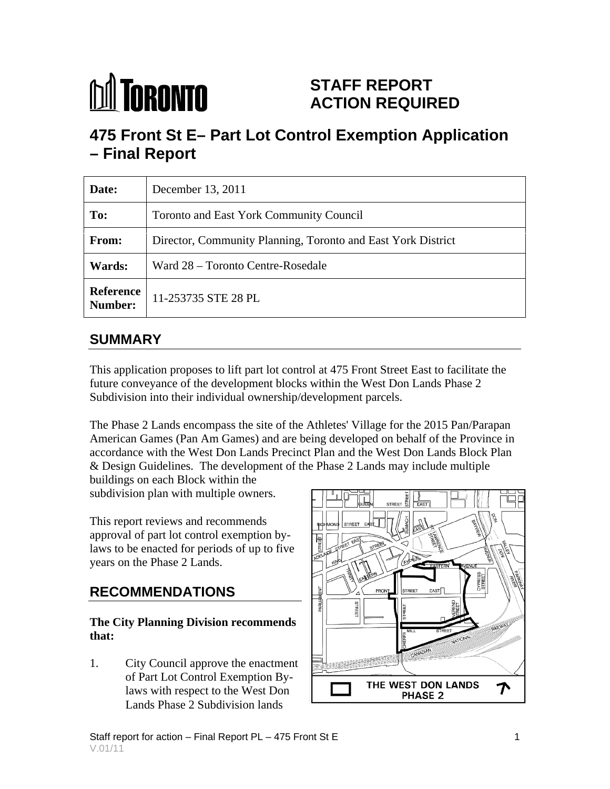# **M** TORONTO

### **STAFF REPORT ACTION REQUIRED**

## **475 Front St E– Part Lot Control Exemption Application – Final Report**

| Date:                              | December 13, 2011                                            |
|------------------------------------|--------------------------------------------------------------|
| To:                                | Toronto and East York Community Council                      |
| From:                              | Director, Community Planning, Toronto and East York District |
| <b>Wards:</b>                      | Ward 28 – Toronto Centre-Rosedale                            |
| <b>Reference</b><br><b>Number:</b> | $11-253735$ STE 28 PL                                        |

#### **SUMMARY**

This application proposes to lift part lot control at 475 Front Street East to facilitate the future conveyance of the development blocks within the West Don Lands Phase 2 Subdivision into their individual ownership/development parcels.

The Phase 2 Lands encompass the site of the Athletes' Village for the 2015 Pan/Parapan American Games (Pan Am Games) and are being developed on behalf of the Province in accordance with the West Don Lands Precinct Plan and the West Don Lands Block Plan & Design Guidelines. The development of the Phase 2 Lands may include multiple

buildings on each Block within the subdivision plan with multiple owners.

This report reviews and recommends approval of part lot control exemption bylaws to be enacted for periods of up to five years on the Phase 2 Lands.

## **The City Planning Division recommends**

1. City Council approve the enactment laws with respect to the West Don **Don PHASE 2** Lands Phase 2 Subdivision lands

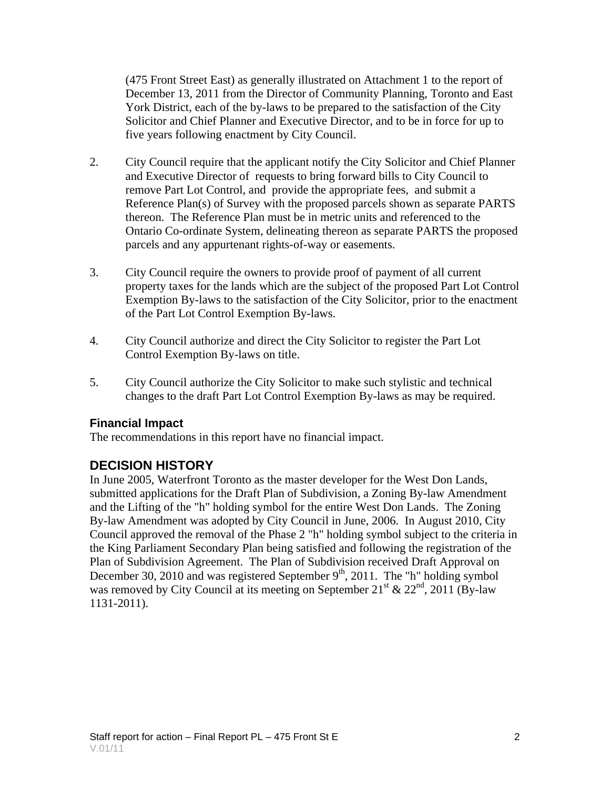(475 Front Street East) as generally illustrated on Attachment 1 to the report of December 13, 2011 from the Director of Community Planning, Toronto and East York District, each of the by-laws to be prepared to the satisfaction of the City Solicitor and Chief Planner and Executive Director, and to be in force for up to five years following enactment by City Council.

- 2. City Council require that the applicant notify the City Solicitor and Chief Planner and Executive Director of requests to bring forward bills to City Council to remove Part Lot Control, and provide the appropriate fees, and submit a Reference Plan(s) of Survey with the proposed parcels shown as separate PARTS thereon. The Reference Plan must be in metric units and referenced to the Ontario Co-ordinate System, delineating thereon as separate PARTS the proposed parcels and any appurtenant rights-of-way or easements.
- 3. City Council require the owners to provide proof of payment of all current property taxes for the lands which are the subject of the proposed Part Lot Control Exemption By-laws to the satisfaction of the City Solicitor, prior to the enactment of the Part Lot Control Exemption By-laws.
- 4. City Council authorize and direct the City Solicitor to register the Part Lot Control Exemption By-laws on title.
- 5. City Council authorize the City Solicitor to make such stylistic and technical changes to the draft Part Lot Control Exemption By-laws as may be required.

#### **Financial Impact**

The recommendations in this report have no financial impact.

#### **DECISION HISTORY**

In June 2005, Waterfront Toronto as the master developer for the West Don Lands, submitted applications for the Draft Plan of Subdivision, a Zoning By-law Amendment and the Lifting of the "h" holding symbol for the entire West Don Lands. The Zoning By-law Amendment was adopted by City Council in June, 2006. In August 2010, City Council approved the removal of the Phase 2 "h" holding symbol subject to the criteria in the King Parliament Secondary Plan being satisfied and following the registration of the Plan of Subdivision Agreement. The Plan of Subdivision received Draft Approval on December 30, 2010 and was registered September  $9<sup>th</sup>$ , 2011. The "h" holding symbol was removed by City Council at its meeting on September 21<sup>st</sup> & 22<sup>nd</sup>, 2011 (By-law 1131-2011).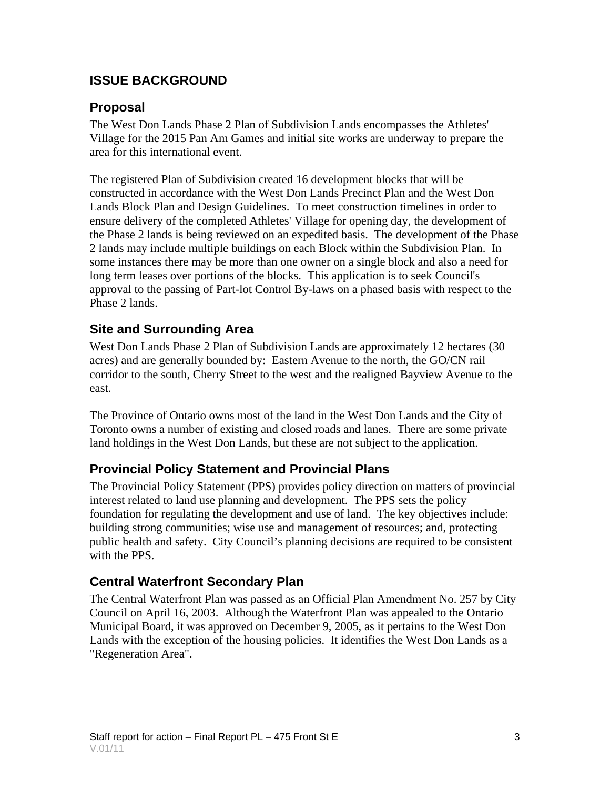#### **ISSUE BACKGROUND**

#### **Proposal**

The West Don Lands Phase 2 Plan of Subdivision Lands encompasses the Athletes' Village for the 2015 Pan Am Games and initial site works are underway to prepare the area for this international event.

The registered Plan of Subdivision created 16 development blocks that will be constructed in accordance with the West Don Lands Precinct Plan and the West Don Lands Block Plan and Design Guidelines. To meet construction timelines in order to ensure delivery of the completed Athletes' Village for opening day, the development of the Phase 2 lands is being reviewed on an expedited basis. The development of the Phase 2 lands may include multiple buildings on each Block within the Subdivision Plan. In some instances there may be more than one owner on a single block and also a need for long term leases over portions of the blocks. This application is to seek Council's approval to the passing of Part-lot Control By-laws on a phased basis with respect to the Phase 2 lands.

#### **Site and Surrounding Area**

West Don Lands Phase 2 Plan of Subdivision Lands are approximately 12 hectares (30 acres) and are generally bounded by: Eastern Avenue to the north, the GO/CN rail corridor to the south, Cherry Street to the west and the realigned Bayview Avenue to the east.

The Province of Ontario owns most of the land in the West Don Lands and the City of Toronto owns a number of existing and closed roads and lanes. There are some private land holdings in the West Don Lands, but these are not subject to the application.

#### **Provincial Policy Statement and Provincial Plans**

The Provincial Policy Statement (PPS) provides policy direction on matters of provincial interest related to land use planning and development. The PPS sets the policy foundation for regulating the development and use of land. The key objectives include: building strong communities; wise use and management of resources; and, protecting public health and safety. City Council's planning decisions are required to be consistent with the PPS.

#### **Central Waterfront Secondary Plan**

The Central Waterfront Plan was passed as an Official Plan Amendment No. 257 by City Council on April 16, 2003. Although the Waterfront Plan was appealed to the Ontario Municipal Board, it was approved on December 9, 2005, as it pertains to the West Don Lands with the exception of the housing policies. It identifies the West Don Lands as a "Regeneration Area".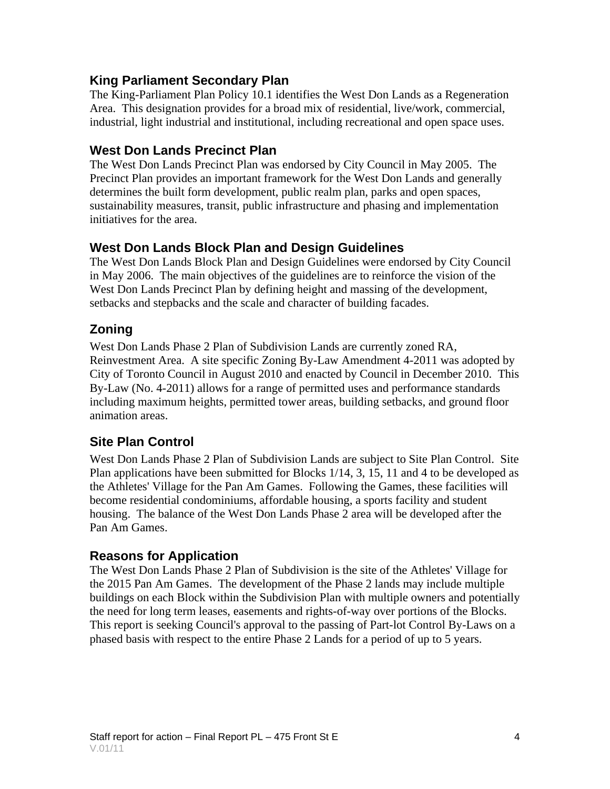#### **King Parliament Secondary Plan**

The King-Parliament Plan Policy 10.1 identifies the West Don Lands as a Regeneration Area. This designation provides for a broad mix of residential, live/work, commercial, industrial, light industrial and institutional, including recreational and open space uses.

#### **West Don Lands Precinct Plan**

The West Don Lands Precinct Plan was endorsed by City Council in May 2005. The Precinct Plan provides an important framework for the West Don Lands and generally determines the built form development, public realm plan, parks and open spaces, sustainability measures, transit, public infrastructure and phasing and implementation initiatives for the area.

#### **West Don Lands Block Plan and Design Guidelines**

The West Don Lands Block Plan and Design Guidelines were endorsed by City Council in May 2006. The main objectives of the guidelines are to reinforce the vision of the West Don Lands Precinct Plan by defining height and massing of the development, setbacks and stepbacks and the scale and character of building facades.

#### **Zoning**

West Don Lands Phase 2 Plan of Subdivision Lands are currently zoned RA, Reinvestment Area. A site specific Zoning By-Law Amendment 4-2011 was adopted by City of Toronto Council in August 2010 and enacted by Council in December 2010. This By-Law (No. 4-2011) allows for a range of permitted uses and performance standards including maximum heights, permitted tower areas, building setbacks, and ground floor animation areas.

#### **Site Plan Control**

West Don Lands Phase 2 Plan of Subdivision Lands are subject to Site Plan Control. Site Plan applications have been submitted for Blocks 1/14, 3, 15, 11 and 4 to be developed as the Athletes' Village for the Pan Am Games. Following the Games, these facilities will become residential condominiums, affordable housing, a sports facility and student housing. The balance of the West Don Lands Phase 2 area will be developed after the Pan Am Games.

#### **Reasons for Application**

The West Don Lands Phase 2 Plan of Subdivision is the site of the Athletes' Village for the 2015 Pan Am Games. The development of the Phase 2 lands may include multiple buildings on each Block within the Subdivision Plan with multiple owners and potentially the need for long term leases, easements and rights-of-way over portions of the Blocks. This report is seeking Council's approval to the passing of Part-lot Control By-Laws on a phased basis with respect to the entire Phase 2 Lands for a period of up to 5 years.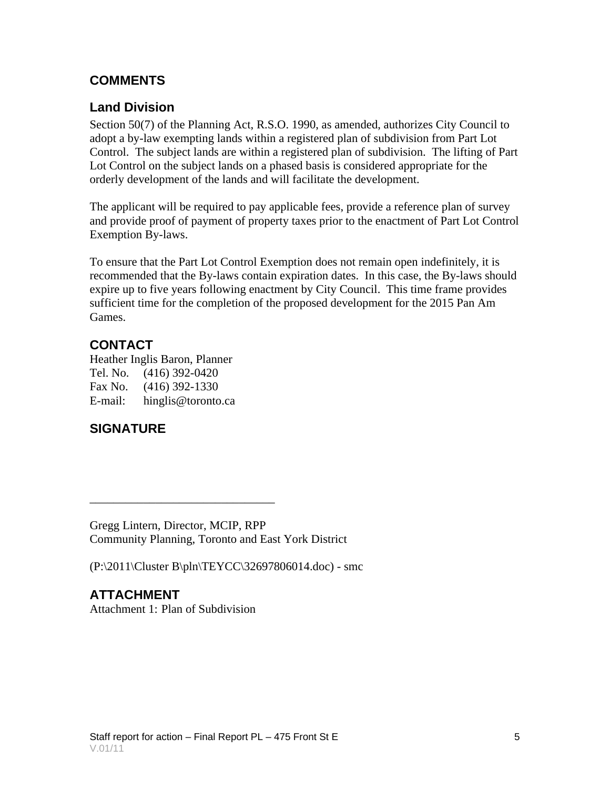#### **COMMENTS**

#### **Land Division**

Section 50(7) of the Planning Act, R.S.O. 1990, as amended, authorizes City Council to adopt a by-law exempting lands within a registered plan of subdivision from Part Lot Control. The subject lands are within a registered plan of subdivision. The lifting of Part Lot Control on the subject lands on a phased basis is considered appropriate for the orderly development of the lands and will facilitate the development.

The applicant will be required to pay applicable fees, provide a reference plan of survey and provide proof of payment of property taxes prior to the enactment of Part Lot Control Exemption By-laws.

To ensure that the Part Lot Control Exemption does not remain open indefinitely, it is recommended that the By-laws contain expiration dates. In this case, the By-laws should expire up to five years following enactment by City Council. This time frame provides sufficient time for the completion of the proposed development for the 2015 Pan Am Games.

#### **CONTACT**

Heather Inglis Baron, Planner Tel. No. (416) 392-0420 Fax No. (416) 392-1330 E-mail: hinglis@toronto.ca

#### **SIGNATURE**

Gregg Lintern, Director, MCIP, RPP Community Planning, Toronto and East York District

(P:\2011\Cluster B\pln\TEYCC\32697806014.doc) - smc

**ATTACHMENT** Attachment 1: Plan of Subdivision

 $\overline{\phantom{a}}$  , we can assume that the contract of  $\overline{\phantom{a}}$  , we can assume that the contract of  $\overline{\phantom{a}}$